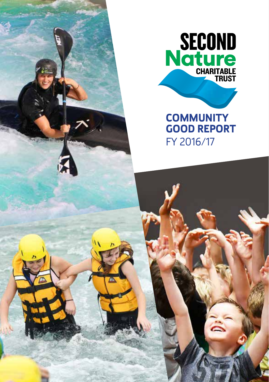

**EXAMPLE** 

SECOND<br>Nature

**COMMUNITY GOOD REPORT** FY 2016/17

 $\ddot{\tilde{\varepsilon}}$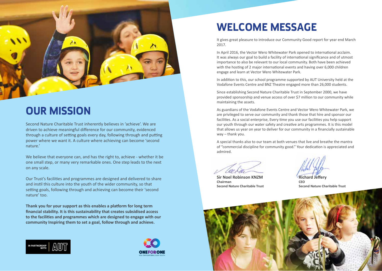

## **OUR MISSION**

Second Nature Charitable Trust inherently believes in 'achieve'. We are driven to achieve meaningful difference for our community, evidenced through a culture of setting goals every day, following through and putting power where we want it. A culture where achieving can become 'second nature.'

We believe that everyone can, and has the right to, achieve - whether it be one small step, or many very remarkable ones. One step leads to the next on any scale.

Our Trust's facilities and programmes are designed and delivered to share and instil this culture into the youth of the wider community, so that setting goals, following through and achieving can become their 'second nature' too.

**Thank you for your support as this enables a platform for long term financial stability. It is this sustainability that creates subsidised access to the facilities and programmes which are designed to engage with our community Inspiring them to set a goal, follow through and achieve.**





## **WELCOME MESSAGE**

It gives great pleasure to introduce our Community Good report for year end March 2017.

In April 2016, the Vector Wero Whitewater Park opened to international acclaim. It was always our goal to build a facility of international significance and of utmost importance to also be relevant to our local community. Both have been achieved with the hosting of 2 major international events and having over 6,000 children engage and learn at Vector Wero Whitewater Park.

In addition to this, our school programme supported by AUT University held at the Vodafone Events Centre and BNZ Theatre engaged more than 26,000 students.

Since establishing Second Nature Charitable Trust in September 2000, we have provided sponsorship and venue access of over \$7 million to our community while maintaining the assets.

As guardians of the Vodafone Events Centre and Vector Wero Whitewater Park, we are privileged to serve our community and thank those that hire and sponsor our facilities. As a social enterprise, Every time you use our facilities you help support our youth through our water safety and creative arts programmes. It is this model that allows us year on year to deliver for our community in a financially sustainable way – thank you.

A special thanks also to our team at both venues that live and breathe the mantra of "commercial discipline for community good." Your dedication is appreciated and admired.

**Sir Noel Robinson KNZM Richard Jefferv Chairman CEO**

**Second Nature Charitable Trust Second Nature Charitable Trust**

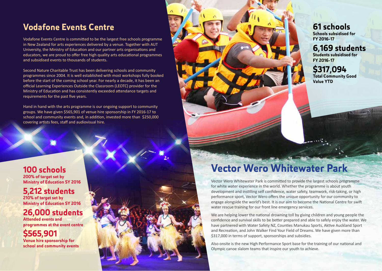## **Vodafone Events Centre**

Vodafone Events Centre is committed to be the largest free schools programme in New Zealand for arts experiences delivered by a venue. Together with AUT University, the Ministry of Education and our partner arts organisations and educators, we are proud to offer free high quality arts educational programmes and subsidised events to thousands of students.

Second Nature Charitable Trust has been delivering schools and community programmes since 2004. It is well established with most workshops fully booked before the start of the coming school year. For nearly a decade, it has been an official Learning Experiences Outside the Classroom (LEOTC) provider for the Ministry of Education and has consistently exceeded attendance targets and requirements for the past five years.

Hand in hand with the arts programme is our ongoing support to community groups. We have given \$565,901 of venue hire sponsorship in FY 2016-17 to school and community events and, in addition, invested more than \$250,000 covering artists fees, staff and audiovisual hire.

#### **100 schools 200% of target set by Ministry of Education SY 2016**

### **5,212 students 210% of target set by**

**Ministry of Education SY 2016**

### **26,000 students**

**Attended events and programmes at the event centre**

### **\$565,901**

**Venue hire sponsorship for school and community events**



**6,169 students Students subsidised for FY 2016-17**

**\$317,094 Total Community Good Value YTD**

# **Vector Wero Whitewater Park**

Vector Wero Whitewater Park is committed to provide the largest schools programme for white water experience in the world. Whether the programme is about youth development and instilling self confidence, water safety, teamwork, risk-taking, or high performance sport, Vector Wero offers the unique opportunity for our community to engage alongside the world's best. It is our aim to become the National Centre for swift water rescue training for our front line emergency services.

We are helping lower the national drowning toll by giving children and young people the confidence and survival skills to be better prepared and able to safely enjoy the water. We have partnered with Water Safety NZ, Counties Manukau Sports, Aktive Auckland Sport and Recreation, and John Walker Find Your Field of Dreams. We have given more than \$317,000 in terms of support, sponsorships and subsidies.

Also onsite is the new High Performance Sport base for the training of our national and Olympic canoe slalom teams that inspire our youth to achieve.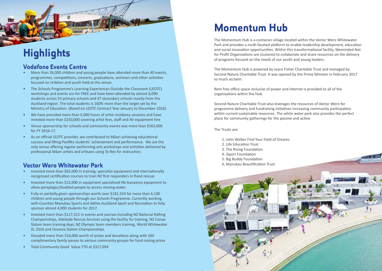## **Highlights**

#### **Vodafone Events Centre**

- More than 26,000 children and young people have attended more than 40 events, programmes, competitions, concerts, graduations, seminars and other activities focused on children and youth held at the venue.
- The Schools Programme's Learning Experiences Outside the Classroom (LEOTC) workshops and events are for FREE and have been attended by almost 6,000 students across 53 primary schools and 47 secondary schools mostly from the Auckland region. The total students is 160% more than the target set by the Ministry of Education. (Based on LEOTC Contract Year January to December 2016)
- We have provided more than 6,000 hours of artist residency sessions and have invested more than \$250,000 covering artist fees, staff and AV equipment hire
- Venue sponsorship for schools and community events was more than \$565,000 for FY 2016-17.
- As an official LEOTC provider, we contributed to Māori achieving educational success and lifting Pasifika students' achievement and performance. We are the only venue offering regular performing arts workshops and activities delivered by professional Māori artists and artisans using Te Reo for instruction.

### **Vector Wero Whitewater Park**

- Invested more than \$65,000 in training, specialist equipment and internationally recognised certification courses to train NZ first responders in flood rescue
- Invested more than \$12,000 in equipment specialised life buoyancy equipment to allow paraplegic/disabled people to access moving water.
- Fully or partially given sponsorships worth over \$181,554 for more than 6,100 children and young people through our Schools Programme. Currently working with Counties Manukau Sports and Aktive Auckland Sport and Recreation to fully sponsor almost 4,000 students for 2017.
- Invested more than \$117,315 in events and courses including NZ National Rafting Championships, Adelaide Rescue Services using the facility for training, NZ Canoe Slalom team training days, NZ Olympic team members training, World Whitewater XL 2016 and Oceania Slalom Championships.
- Donated more than \$16,000 worth of prizes and donations along with 100 complimentary family passes to various community groups for fund raising prizes
- Total Community Good Value YTD at \$317,094

## **Momentum Hub**

The Momentum Hub is a container village located within the Vector Wero Whitewater Park and provides a multi-faceted platform to enable leadership development, education and social innovation opportunities. Within this transformational facility, likeminded Not for Profit Organisations are clustered to collaborate and share resources on the delivery of programs focused on the needs of our youth and young leaders.

The Momentum Hub is powered by Joyce Fisher Charitable Trust and managed by Second Nature Charitable Trust. It was opened by the Prime Minister in February 2017 to much acclaim.

Rent free office space inclusive of power and internet is provided to all of the organisations within the Hub.

Second Nature Charitable Trust also leverages the resources of Vector Wero for programme delivery and fundraising initiatives increasing community participation within current sustainable resources. The white water park also provides the perfect place for community gatherings for the passive and active.

The Trusts are:

- 1. John Walker Find Your Field of Dreams
- 2. Life Education Trust
- 3. The Rising Foundation
- 4. iSport Foundation
- 5. Big Buddy Foundation
- 6. Manukau Beautification Trust